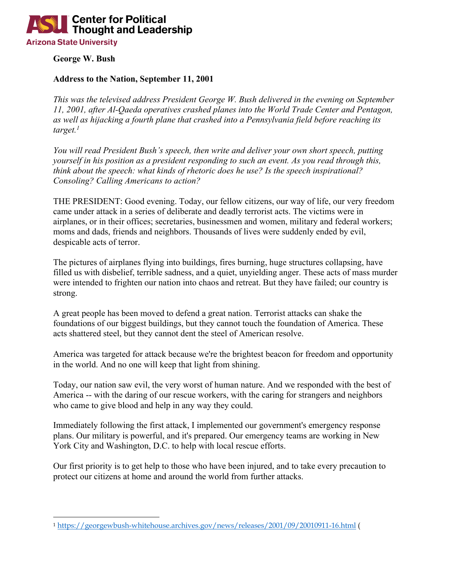

## **George W. Bush**

## **Address to the Nation, September 11, 2001**

*This was the televised address President George W. Bush delivered in the evening on September 11, 2001, after Al-Qaeda operatives crashed planes into the World Trade Center and Pentagon, as well as hijacking a fourth plane that crashed into a Pennsylvania field before reaching its target.1*

*You will read President Bush's speech, then write and deliver your own short speech, putting yourself in his position as a president responding to such an event. As you read through this, think about the speech: what kinds of rhetoric does he use? Is the speech inspirational? Consoling? Calling Americans to action?* 

THE PRESIDENT: Good evening. Today, our fellow citizens, our way of life, our very freedom came under attack in a series of deliberate and deadly terrorist acts. The victims were in airplanes, or in their offices; secretaries, businessmen and women, military and federal workers; moms and dads, friends and neighbors. Thousands of lives were suddenly ended by evil, despicable acts of terror.

The pictures of airplanes flying into buildings, fires burning, huge structures collapsing, have filled us with disbelief, terrible sadness, and a quiet, unyielding anger. These acts of mass murder were intended to frighten our nation into chaos and retreat. But they have failed; our country is strong.

A great people has been moved to defend a great nation. Terrorist attacks can shake the foundations of our biggest buildings, but they cannot touch the foundation of America. These acts shattered steel, but they cannot dent the steel of American resolve.

America was targeted for attack because we're the brightest beacon for freedom and opportunity in the world. And no one will keep that light from shining.

Today, our nation saw evil, the very worst of human nature. And we responded with the best of America -- with the daring of our rescue workers, with the caring for strangers and neighbors who came to give blood and help in any way they could.

Immediately following the first attack, I implemented our government's emergency response plans. Our military is powerful, and it's prepared. Our emergency teams are working in New York City and Washington, D.C. to help with local rescue efforts.

Our first priority is to get help to those who have been injured, and to take every precaution to protect our citizens at home and around the world from further attacks.

<sup>1</sup> https://georgewbush-whitehouse.archives.gov/news/releases/2001/09/20010911-16.html (